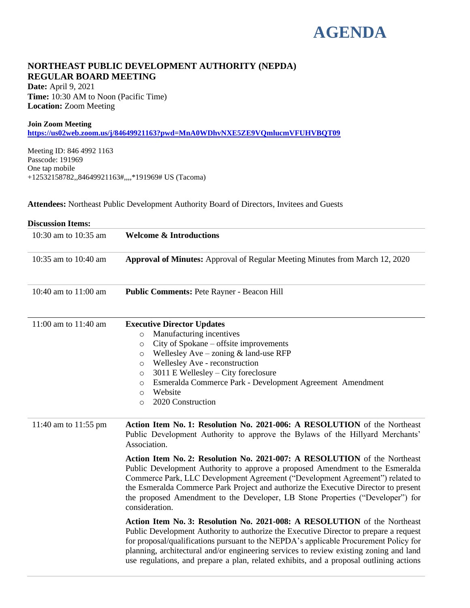# **AGENDA**

# **NORTHEAST PUBLIC DEVELOPMENT AUTHORITY (NEPDA) REGULAR BOARD MEETING**

**Date:** April 9, 2021 **Time:** 10:30 AM to Noon (Pacific Time) **Location:** Zoom Meeting

#### **Join Zoom Meeting**

**<https://us02web.zoom.us/j/84649921163?pwd=MnA0WDhvNXE5ZE9VQmlucmVFUHVBQT09>**

Meeting ID: 846 4992 1163 Passcode: 191969 One tap mobile +12532158782,,84649921163#,,,,\*191969# US (Tacoma)

**Attendees:** Northeast Public Development Authority Board of Directors, Invitees and Guests

| <b>Discussion Items:</b> |                                                                                                                                                                                                                                                                                                                                                                                                                                                                                                                                                                                                                                                                                                                                                                                                                                                                                                                                                                                                                                                                          |
|--------------------------|--------------------------------------------------------------------------------------------------------------------------------------------------------------------------------------------------------------------------------------------------------------------------------------------------------------------------------------------------------------------------------------------------------------------------------------------------------------------------------------------------------------------------------------------------------------------------------------------------------------------------------------------------------------------------------------------------------------------------------------------------------------------------------------------------------------------------------------------------------------------------------------------------------------------------------------------------------------------------------------------------------------------------------------------------------------------------|
| 10:30 am to 10:35 am     | <b>Welcome &amp; Introductions</b>                                                                                                                                                                                                                                                                                                                                                                                                                                                                                                                                                                                                                                                                                                                                                                                                                                                                                                                                                                                                                                       |
| 10:35 am to 10:40 am     | <b>Approval of Minutes:</b> Approval of Regular Meeting Minutes from March 12, 2020                                                                                                                                                                                                                                                                                                                                                                                                                                                                                                                                                                                                                                                                                                                                                                                                                                                                                                                                                                                      |
| 10:40 am to 11:00 am     | Public Comments: Pete Rayner - Beacon Hill                                                                                                                                                                                                                                                                                                                                                                                                                                                                                                                                                                                                                                                                                                                                                                                                                                                                                                                                                                                                                               |
| 11:00 am to 11:40 am     | <b>Executive Director Updates</b><br>Manufacturing incentives<br>$\circ$<br>City of Spokane – offsite improvements<br>$\circ$<br>Wellesley $Ave$ – zoning $&$ land-use RFP<br>$\circ$<br>Wellesley Ave - reconstruction<br>$\circ$<br>$3011$ E Wellesley – City foreclosure<br>$\circ$<br>Esmeralda Commerce Park - Development Agreement Amendment<br>$\circ$<br>Website<br>$\circ$<br>2020 Construction<br>$\circ$                                                                                                                                                                                                                                                                                                                                                                                                                                                                                                                                                                                                                                                     |
| 11:40 am to 11:55 pm     | Action Item No. 1: Resolution No. 2021-006: A RESOLUTION of the Northeast<br>Public Development Authority to approve the Bylaws of the Hillyard Merchants'<br>Association.<br>Action Item No. 2: Resolution No. 2021-007: A RESOLUTION of the Northeast<br>Public Development Authority to approve a proposed Amendment to the Esmeralda<br>Commerce Park, LLC Development Agreement ("Development Agreement") related to<br>the Esmeralda Commerce Park Project and authorize the Executive Director to present<br>the proposed Amendment to the Developer, LB Stone Properties ("Developer") for<br>consideration.<br>Action Item No. 3: Resolution No. 2021-008: A RESOLUTION of the Northeast<br>Public Development Authority to authorize the Executive Director to prepare a request<br>for proposal/qualifications pursuant to the NEPDA's applicable Procurement Policy for<br>planning, architectural and/or engineering services to review existing zoning and land<br>use regulations, and prepare a plan, related exhibits, and a proposal outlining actions |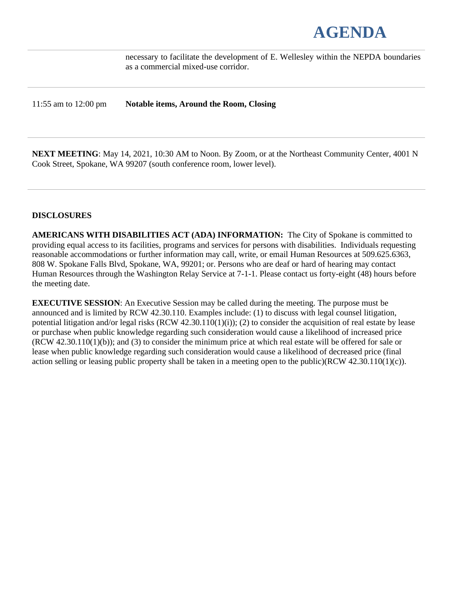# **AGENDA**

necessary to facilitate the development of E. Wellesley within the NEPDA boundaries as a commercial mixed-use corridor.

11:55 am to 12:00 pm **Notable items, Around the Room, Closing**

**NEXT MEETING**: May 14, 2021, 10:30 AM to Noon. By Zoom, or at the Northeast Community Center, 4001 N Cook Street, Spokane, WA 99207 (south conference room, lower level).

# **DISCLOSURES**

**AMERICANS WITH DISABILITIES ACT (ADA) INFORMATION:** The City of Spokane is committed to providing equal access to its facilities, programs and services for persons with disabilities. Individuals requesting reasonable accommodations or further information may call, write, or email Human Resources at 509.625.6363, 808 W. Spokane Falls Blvd, Spokane, WA, 99201; or. Persons who are deaf or hard of hearing may contact Human Resources through the Washington Relay Service at 7-1-1. Please contact us forty-eight (48) hours before the meeting date.

**EXECUTIVE SESSION**: An Executive Session may be called during the meeting. The purpose must be announced and is limited by RCW 42.30.110. Examples include: (1) to discuss with legal counsel litigation, potential litigation and/or legal risks  $(RCW 42.30.110(1)(i))$ ; (2) to consider the acquisition of real estate by lease or purchase when public knowledge regarding such consideration would cause a likelihood of increased price (RCW 42.30.110(1)(b)); and (3) to consider the minimum price at which real estate will be offered for sale or lease when public knowledge regarding such consideration would cause a likelihood of decreased price (final action selling or leasing public property shall be taken in a meeting open to the public)(RCW 42.30.110(1)(c)).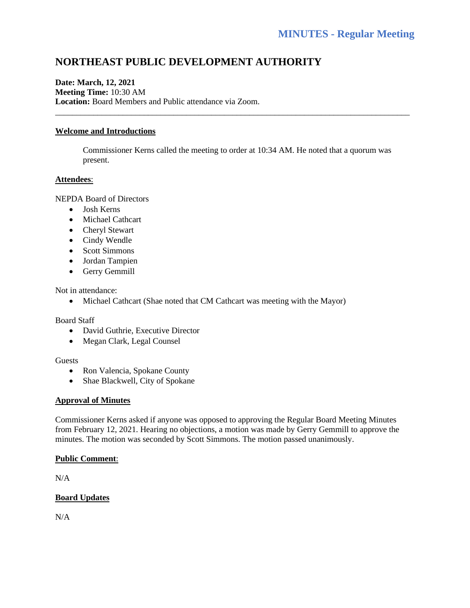# **NORTHEAST PUBLIC DEVELOPMENT AUTHORITY**

# **Date: March, 12, 2021 Meeting Time:** 10:30 AM **Location:** Board Members and Public attendance via Zoom.

# **Welcome and Introductions**

Commissioner Kerns called the meeting to order at 10:34 AM. He noted that a quorum was present.

\_\_\_\_\_\_\_\_\_\_\_\_\_\_\_\_\_\_\_\_\_\_\_\_\_\_\_\_\_\_\_\_\_\_\_\_\_\_\_\_\_\_\_\_\_\_\_\_\_\_\_\_\_\_\_\_\_\_\_\_\_\_\_\_\_\_\_\_\_\_\_\_\_\_\_\_\_\_\_\_\_\_\_\_

#### **Attendees**:

NEPDA Board of Directors

- Josh Kerns
- Michael Cathcart
- Cheryl Stewart
- Cindy Wendle
- Scott Simmons
- Jordan Tampien
- Gerry Gemmill

Not in attendance:

• Michael Cathcart (Shae noted that CM Cathcart was meeting with the Mayor)

Board Staff

- David Guthrie, Executive Director
- Megan Clark, Legal Counsel

#### **Guests**

- Ron Valencia, Spokane County
- Shae Blackwell, City of Spokane

# **Approval of Minutes**

Commissioner Kerns asked if anyone was opposed to approving the Regular Board Meeting Minutes from February 12, 2021. Hearing no objections, a motion was made by Gerry Gemmill to approve the minutes. The motion was seconded by Scott Simmons. The motion passed unanimously.

# **Public Comment**:

 $N/A$ 

# **Board Updates**

 $N/A$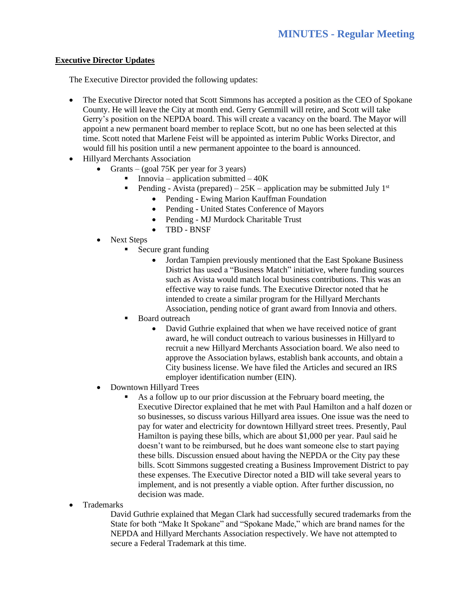# **Executive Director Updates**

The Executive Director provided the following updates:

- The Executive Director noted that Scott Simmons has accepted a position as the CEO of Spokane County. He will leave the City at month end. Gerry Gemmill will retire, and Scott will take Gerry's position on the NEPDA board. This will create a vacancy on the board. The Mayor will appoint a new permanent board member to replace Scott, but no one has been selected at this time. Scott noted that Marlene Feist will be appointed as interim Public Works Director, and would fill his position until a new permanent appointee to the board is announced.
- Hillyard Merchants Association
	- Grants (goal 75K per year for 3 years)
		- **•** Innovia application submitted  $-40K$ 
			- Pending Avista (prepared)  $25K$  application may be submitted July 1<sup>st</sup>
				- Pending Ewing Marion Kauffman Foundation
				- Pending United States Conference of Mayors
				- Pending MJ Murdock Charitable Trust
				- TBD BNSF
	- Next Steps
		- Secure grant funding
			- Jordan Tampien previously mentioned that the East Spokane Business District has used a "Business Match" initiative, where funding sources such as Avista would match local business contributions. This was an effective way to raise funds. The Executive Director noted that he intended to create a similar program for the Hillyard Merchants Association, pending notice of grant award from Innovia and others.
		- **Board outreach** 
			- David Guthrie explained that when we have received notice of grant award, he will conduct outreach to various businesses in Hillyard to recruit a new Hillyard Merchants Association board. We also need to approve the Association bylaws, establish bank accounts, and obtain a City business license. We have filed the Articles and secured an IRS employer identification number (EIN).
	- Downtown Hillyard Trees
		- As a follow up to our prior discussion at the February board meeting, the Executive Director explained that he met with Paul Hamilton and a half dozen or so businesses, so discuss various Hillyard area issues. One issue was the need to pay for water and electricity for downtown Hillyard street trees. Presently, Paul Hamilton is paying these bills, which are about \$1,000 per year. Paul said he doesn't want to be reimbursed, but he does want someone else to start paying these bills. Discussion ensued about having the NEPDA or the City pay these bills. Scott Simmons suggested creating a Business Improvement District to pay these expenses. The Executive Director noted a BID will take several years to implement, and is not presently a viable option. After further discussion, no decision was made.
- Trademarks

David Guthrie explained that Megan Clark had successfully secured trademarks from the State for both "Make It Spokane" and "Spokane Made," which are brand names for the NEPDA and Hillyard Merchants Association respectively. We have not attempted to secure a Federal Trademark at this time.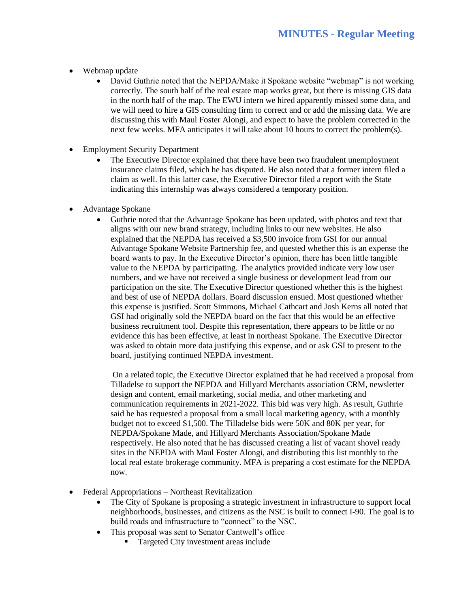- Webmap update
	- David Guthrie noted that the NEPDA/Make it Spokane website "webmap" is not working correctly. The south half of the real estate map works great, but there is missing GIS data in the north half of the map. The EWU intern we hired apparently missed some data, and we will need to hire a GIS consulting firm to correct and or add the missing data. We are discussing this with Maul Foster Alongi, and expect to have the problem corrected in the next few weeks. MFA anticipates it will take about 10 hours to correct the problem(s).
- Employment Security Department
	- The Executive Director explained that there have been two fraudulent unemployment insurance claims filed, which he has disputed. He also noted that a former intern filed a claim as well. In this latter case, the Executive Director filed a report with the State indicating this internship was always considered a temporary position.
- Advantage Spokane
	- Guthrie noted that the Advantage Spokane has been updated, with photos and text that aligns with our new brand strategy, including links to our new websites. He also explained that the NEPDA has received a \$3,500 invoice from GSI for our annual Advantage Spokane Website Partnership fee, and quested whether this is an expense the board wants to pay. In the Executive Director's opinion, there has been little tangible value to the NEPDA by participating. The analytics provided indicate very low user numbers, and we have not received a single business or development lead from our participation on the site. The Executive Director questioned whether this is the highest and best of use of NEPDA dollars. Board discussion ensued. Most questioned whether this expense is justified. Scott Simmons, Michael Cathcart and Josh Kerns all noted that GSI had originally sold the NEPDA board on the fact that this would be an effective business recruitment tool. Despite this representation, there appears to be little or no evidence this has been effective, at least in northeast Spokane. The Executive Director was asked to obtain more data justifying this expense, and or ask GSI to present to the board, justifying continued NEPDA investment.

On a related topic, the Executive Director explained that he had received a proposal from Tilladelse to support the NEPDA and Hillyard Merchants association CRM, newsletter design and content, email marketing, social media, and other marketing and communication requirements in 2021-2022. This bid was very high. As result, Guthrie said he has requested a proposal from a small local marketing agency, with a monthly budget not to exceed \$1,500. The Tilladelse bids were 50K and 80K per year, for NEPDA/Spokane Made, and Hillyard Merchants Association/Spokane Made respectively. He also noted that he has discussed creating a list of vacant shovel ready sites in the NEPDA with Maul Foster Alongi, and distributing this list monthly to the local real estate brokerage community. MFA is preparing a cost estimate for the NEPDA now.

- Federal Appropriations Northeast Revitalization
	- The City of Spokane is proposing a strategic investment in infrastructure to support local neighborhoods, businesses, and citizens as the NSC is built to connect I-90. The goal is to build roads and infrastructure to "connect" to the NSC.
	- This proposal was sent to Senator Cantwell's office
		- Targeted City investment areas include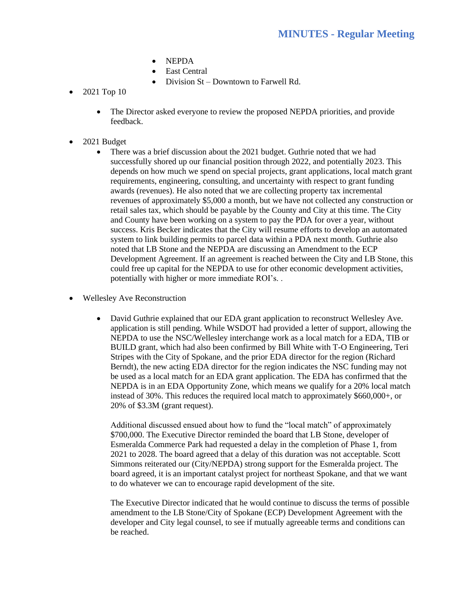- NEPDA
- East Central
- Division St Downtown to Farwell Rd.
- 2021 Top 10
	- The Director asked everyone to review the proposed NEPDA priorities, and provide feedback.
- 2021 Budget
	- There was a brief discussion about the 2021 budget. Guthrie noted that we had successfully shored up our financial position through 2022, and potentially 2023. This depends on how much we spend on special projects, grant applications, local match grant requirements, engineering, consulting, and uncertainty with respect to grant funding awards (revenues). He also noted that we are collecting property tax incremental revenues of approximately \$5,000 a month, but we have not collected any construction or retail sales tax, which should be payable by the County and City at this time. The City and County have been working on a system to pay the PDA for over a year, without success. Kris Becker indicates that the City will resume efforts to develop an automated system to link building permits to parcel data within a PDA next month. Guthrie also noted that LB Stone and the NEPDA are discussing an Amendment to the ECP Development Agreement. If an agreement is reached between the City and LB Stone, this could free up capital for the NEPDA to use for other economic development activities, potentially with higher or more immediate ROI's. .
- Wellesley Ave Reconstruction
	- David Guthrie explained that our EDA grant application to reconstruct Wellesley Ave. application is still pending. While WSDOT had provided a letter of support, allowing the NEPDA to use the NSC/Wellesley interchange work as a local match for a EDA, TIB or BUILD grant, which had also been confirmed by Bill White with T-O Engineering, Teri Stripes with the City of Spokane, and the prior EDA director for the region (Richard Berndt), the new acting EDA director for the region indicates the NSC funding may not be used as a local match for an EDA grant application. The EDA has confirmed that the NEPDA is in an EDA Opportunity Zone, which means we qualify for a 20% local match instead of 30%. This reduces the required local match to approximately \$660,000+, or 20% of \$3.3M (grant request).

Additional discussed ensued about how to fund the "local match" of approximately \$700,000. The Executive Director reminded the board that LB Stone, developer of Esmeralda Commerce Park had requested a delay in the completion of Phase 1, from 2021 to 2028. The board agreed that a delay of this duration was not acceptable. Scott Simmons reiterated our (City/NEPDA) strong support for the Esmeralda project. The board agreed, it is an important catalyst project for northeast Spokane, and that we want to do whatever we can to encourage rapid development of the site.

The Executive Director indicated that he would continue to discuss the terms of possible amendment to the LB Stone/City of Spokane (ECP) Development Agreement with the developer and City legal counsel, to see if mutually agreeable terms and conditions can be reached.